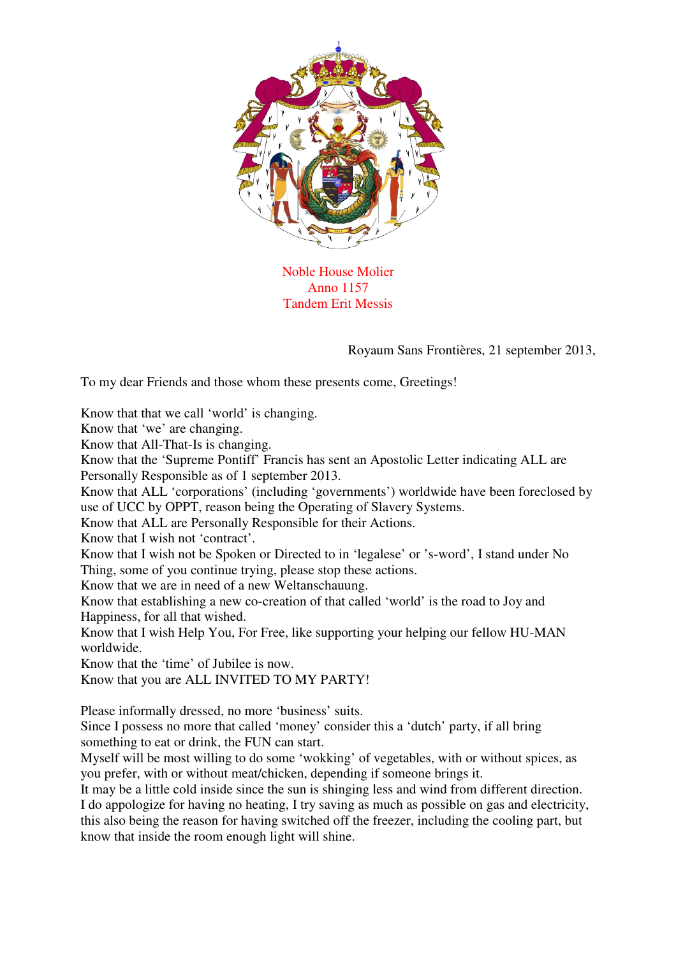

Noble House Molier Anno 1157 Tandem Erit Messis

Royaum Sans Frontières, 21 september 2013,

To my dear Friends and those whom these presents come, Greetings!

Know that that we call 'world' is changing.

Know that 'we' are changing.

Know that All-That-Is is changing.

Know that the 'Supreme Pontiff' Francis has sent an Apostolic Letter indicating ALL are Personally Responsible as of 1 september 2013.

Know that ALL 'corporations' (including 'governments') worldwide have been foreclosed by use of UCC by OPPT, reason being the Operating of Slavery Systems.

Know that ALL are Personally Responsible for their Actions.

Know that I wish not 'contract'.

Know that I wish not be Spoken or Directed to in 'legalese' or 's-word', I stand under No Thing, some of you continue trying, please stop these actions.

Know that we are in need of a new Weltanschauung.

Know that establishing a new co-creation of that called 'world' is the road to Joy and Happiness, for all that wished.

Know that I wish Help You, For Free, like supporting your helping our fellow HU-MAN worldwide.

Know that the 'time' of Jubilee is now.

Know that you are ALL INVITED TO MY PARTY!

Please informally dressed, no more 'business' suits.

Since I possess no more that called 'money' consider this a 'dutch' party, if all bring something to eat or drink, the FUN can start.

Myself will be most willing to do some 'wokking' of vegetables, with or without spices, as you prefer, with or without meat/chicken, depending if someone brings it.

It may be a little cold inside since the sun is shinging less and wind from different direction. I do appologize for having no heating, I try saving as much as possible on gas and electricity, this also being the reason for having switched off the freezer, including the cooling part, but know that inside the room enough light will shine.